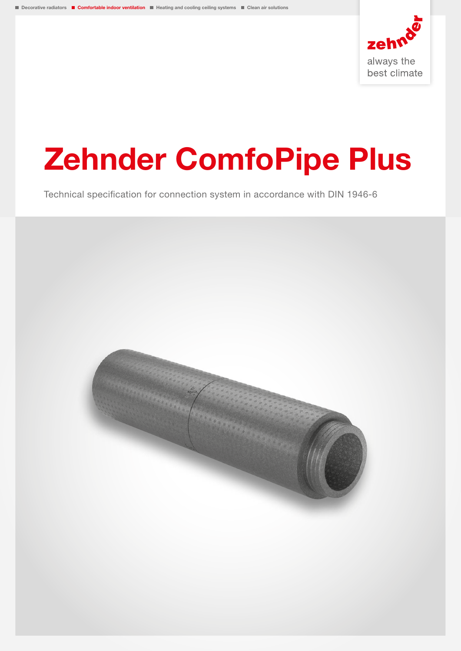

# Zehnder ComfoPipe Plus

Technical specification for connection system in accordance with DIN 1946-6

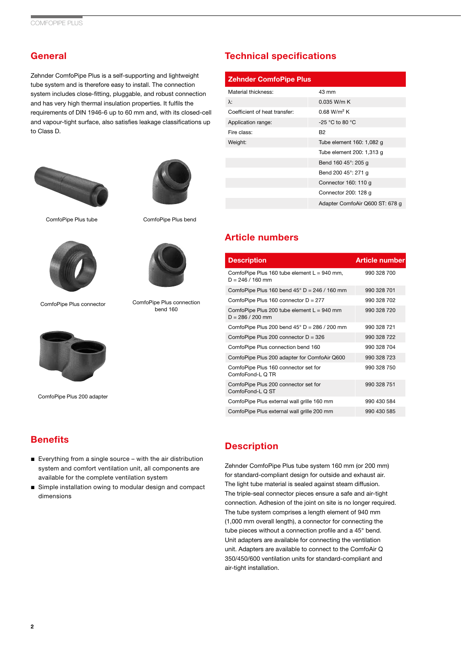## **General**

Zehnder ComfoPipe Plus is a self-supporting and lightweight tube system and is therefore easy to install. The connection system includes close-fitting, pluggable, and robust connection and has very high thermal insulation properties. It fulfils the requirements of DIN 1946-6 up to 60 mm and, with its closed-cell and vapour-tight surface, also satisfies leakage classifications up to Class D.





ComfoPipe Plus connection bend 160

ComfoPipe Plus tube ComfoPipe Plus bend



ComfoPipe Plus connector



ComfoPipe Plus 200 adapter

#### **Benefits**

- Everything from a single source with the air distribution system and comfort ventilation unit, all components are available for the complete ventilation system
- Simple installation owing to modular design and compact dimensions

## Technical specifications

| <b>Zehnder ComfoPipe Plus</b> |                                 |  |  |  |  |
|-------------------------------|---------------------------------|--|--|--|--|
| Material thickness:           | 43 mm                           |  |  |  |  |
| λ:                            | 0.035 W/m K                     |  |  |  |  |
| Coefficient of heat transfer: | $0.68$ W/m <sup>2</sup> K       |  |  |  |  |
| Application range:            | -25 °C to 80 °C                 |  |  |  |  |
| Fire class:                   | <b>B2</b>                       |  |  |  |  |
| Weight:                       | Tube element 160: 1,082 g       |  |  |  |  |
|                               | Tube element 200: 1,313 g       |  |  |  |  |
|                               | Bend 160 45°: 205 g             |  |  |  |  |
|                               | Bend 200 45°: 271 g             |  |  |  |  |
|                               | Connector 160: 110 g            |  |  |  |  |
|                               | Connector 200: 128 g            |  |  |  |  |
|                               | Adapter ComfoAir Q600 ST: 678 g |  |  |  |  |

#### Article numbers

| <b>Description</b>                                                 | <b>Article number</b> |
|--------------------------------------------------------------------|-----------------------|
| ComfoPipe Plus 160 tube element L = 940 mm,<br>$D = 246 / 160$ mm  | 990 328 700           |
| ComfoPipe Plus 160 bend $45^{\circ}$ D = 246 / 160 mm              | 990 328 701           |
| ComfoPipe Plus 160 connector $D = 277$                             | 990 328 702           |
| ComfoPipe Plus 200 tube element $L = 940$ mm<br>$D = 286 / 200$ mm | 990 328 720           |
| ComfoPipe Plus 200 bend $45^{\circ}$ D = 286 / 200 mm              | 990 328 721           |
| ComfoPipe Plus 200 connector $D = 326$                             | 990 328 722           |
| ComfoPipe Plus connection bend 160                                 | 990 328 704           |
| ComfoPipe Plus 200 adapter for ComfoAir Q600                       | 990 328 723           |
| ComfoPipe Plus 160 connector set for<br>ComfoFond-L Q TR           | 990 328 750           |
| ComfoPipe Plus 200 connector set for<br>ComfoFond-L Q ST           | 990 328 751           |
| ComfoPipe Plus external wall grille 160 mm                         | 990 430 584           |
| ComfoPipe Plus external wall grille 200 mm                         | 990 430 585           |

#### **Description**

Zehnder ComfoPipe Plus tube system 160 mm (or 200 mm) for standard-compliant design for outside and exhaust air. The light tube material is sealed against steam diffusion. The triple-seal connector pieces ensure a safe and air-tight connection. Adhesion of the joint on site is no longer required. The tube system comprises a length element of 940 mm (1,000 mm overall length), a connector for connecting the tube pieces without a connection profile and a 45° bend. Unit adapters are available for connecting the ventilation unit. Adapters are available to connect to the ComfoAir Q 350/450/600 ventilation units for standard-compliant and air-tight installation.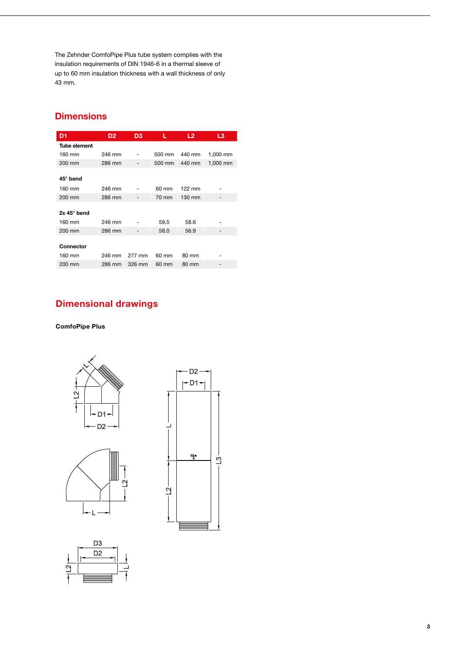The Zehnder ComfoPipe Plus tube system complies with the insulation requirements of DIN 1946-6 in a thermal sleeve of up to 60 mm insulation thickness with a wall thickness of only 43 mm.

#### **Dimensions**

| D <sub>1</sub>      | D <sub>2</sub> | D <sub>3</sub> | L      | L <sub>2</sub>   | L3       |
|---------------------|----------------|----------------|--------|------------------|----------|
| <b>Tube element</b> |                |                |        |                  |          |
| 160 mm              | 246 mm         |                | 500 mm | 440 mm           | 1,000 mm |
| 200 mm              | 286 mm         |                | 500 mm | 440 mm           | 1,000 mm |
| 45° bend            |                |                |        |                  |          |
| 160 mm              | 246 mm         |                | 60 mm  | $122 \text{ mm}$ |          |
| 200 mm              | 286 mm         |                | 70 mm  | 130 mm           |          |
|                     |                |                |        |                  |          |
| $2x 45^\circ$ bend  |                |                |        |                  |          |
| 160 mm              | 246 mm         |                | 59.5   | 58.6             |          |
| 200 mm              | 286 mm         |                | 58.0   | 56.9             |          |
|                     |                |                |        |                  |          |
| Connector           |                |                |        |                  |          |
| 160 mm              | 246 mm         | 277 mm         | 60 mm  | 80 mm            |          |
| 200 mm              | 286 mm         | 326 mm         | 60 mm  | 80 mm            |          |

# Dimensional drawings

#### ComfoPipe Plus







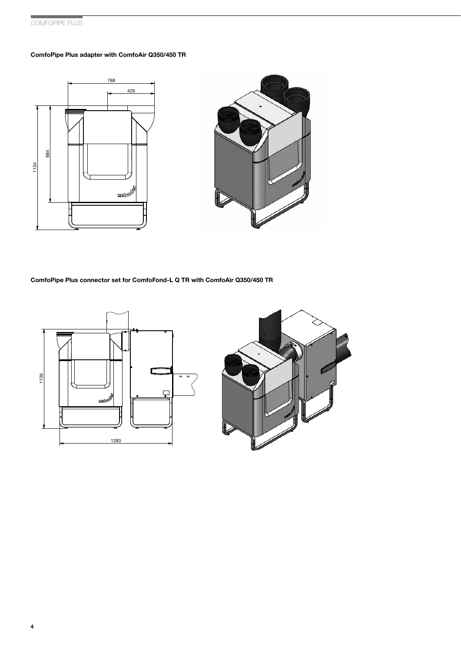# COMFOPIPE PLUS

#### ComfoPipe Plus adapter with ComfoAir Q350/450 TR





ComfoPipe Plus connector set for ComfoFond-L Q TR with ComfoAir Q350/450 TR

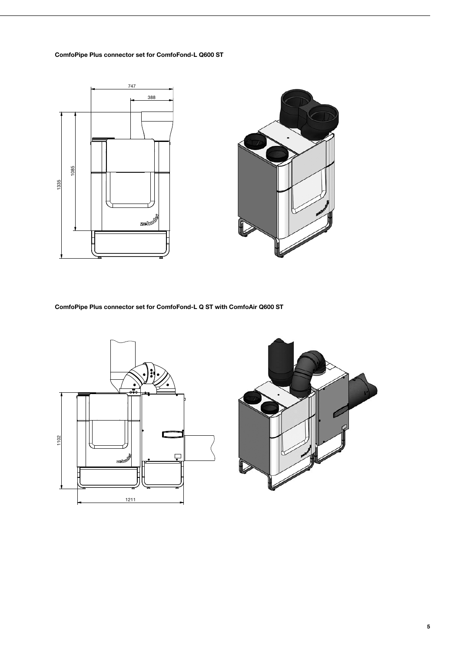ComfoPipe Plus connector set for ComfoFond-L Q600 ST



ComfoPipe Plus connector set for ComfoFond-L Q ST with ComfoAir Q600 ST